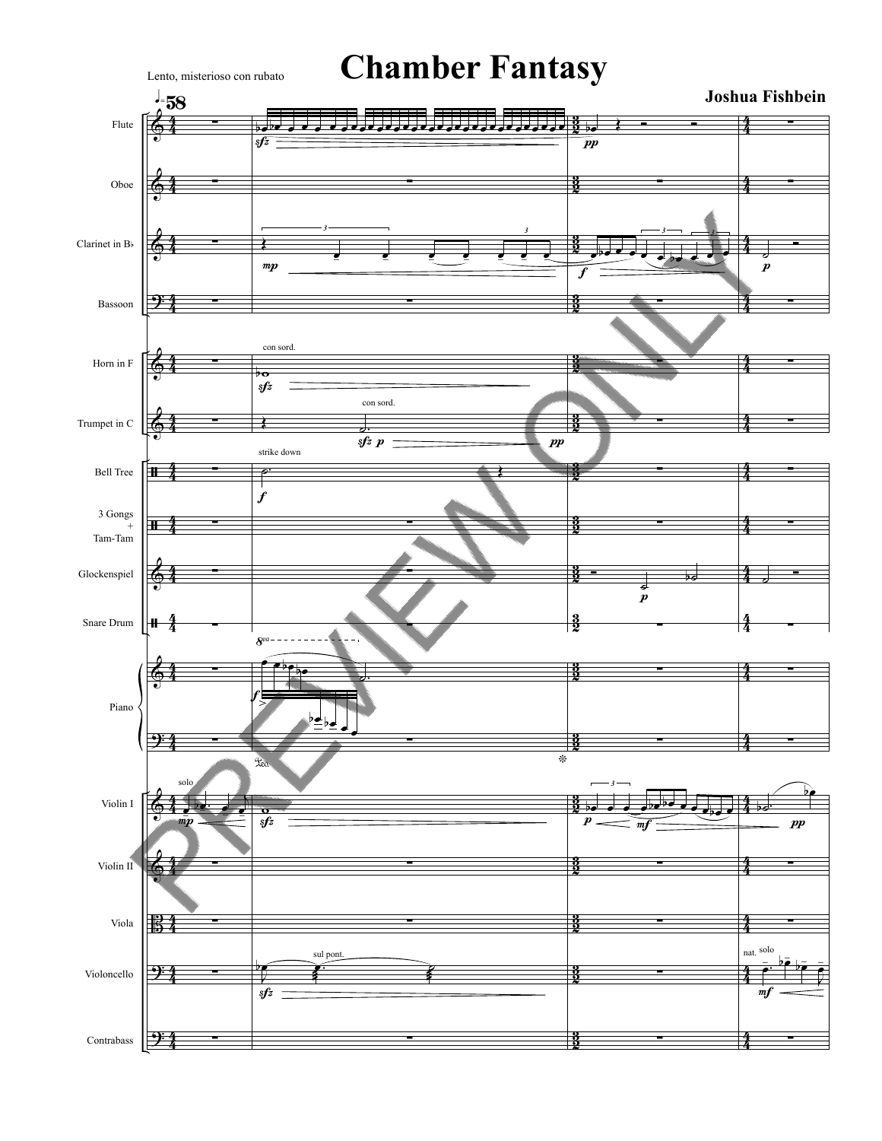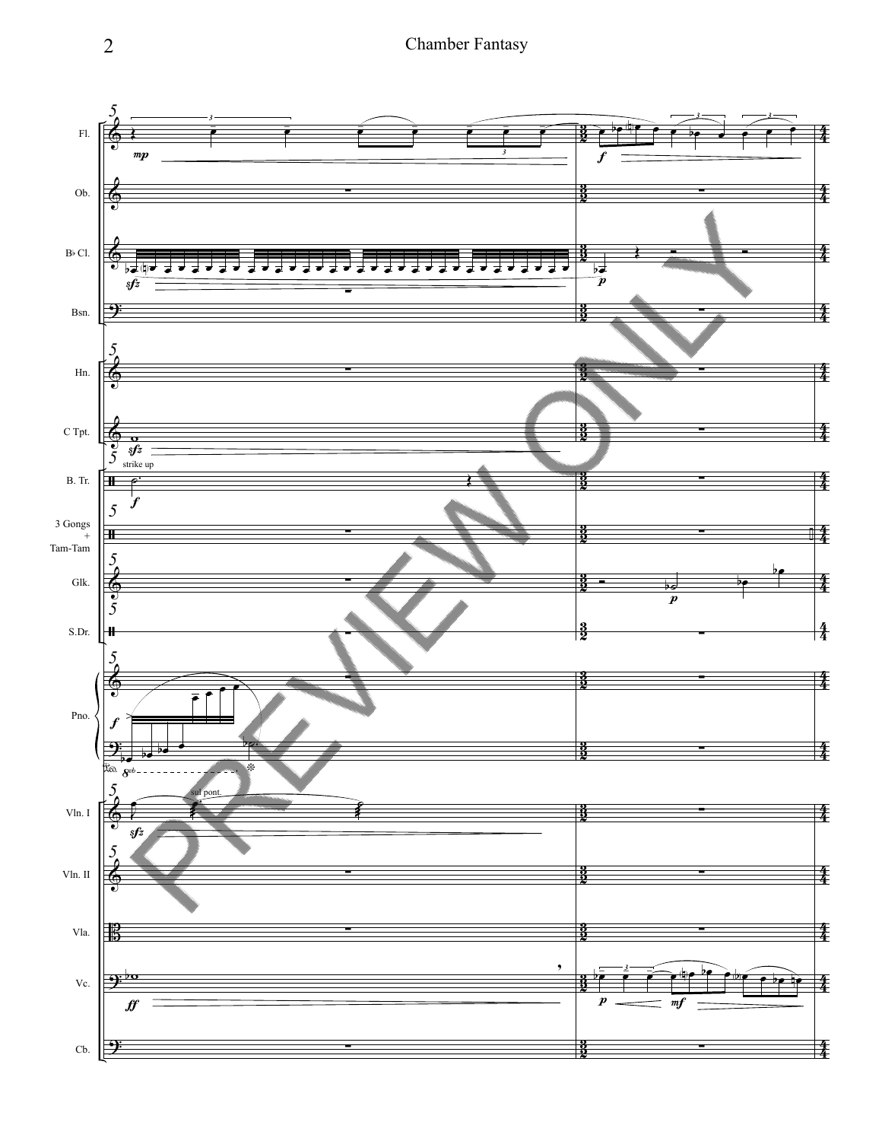2 Chamber Fantasy

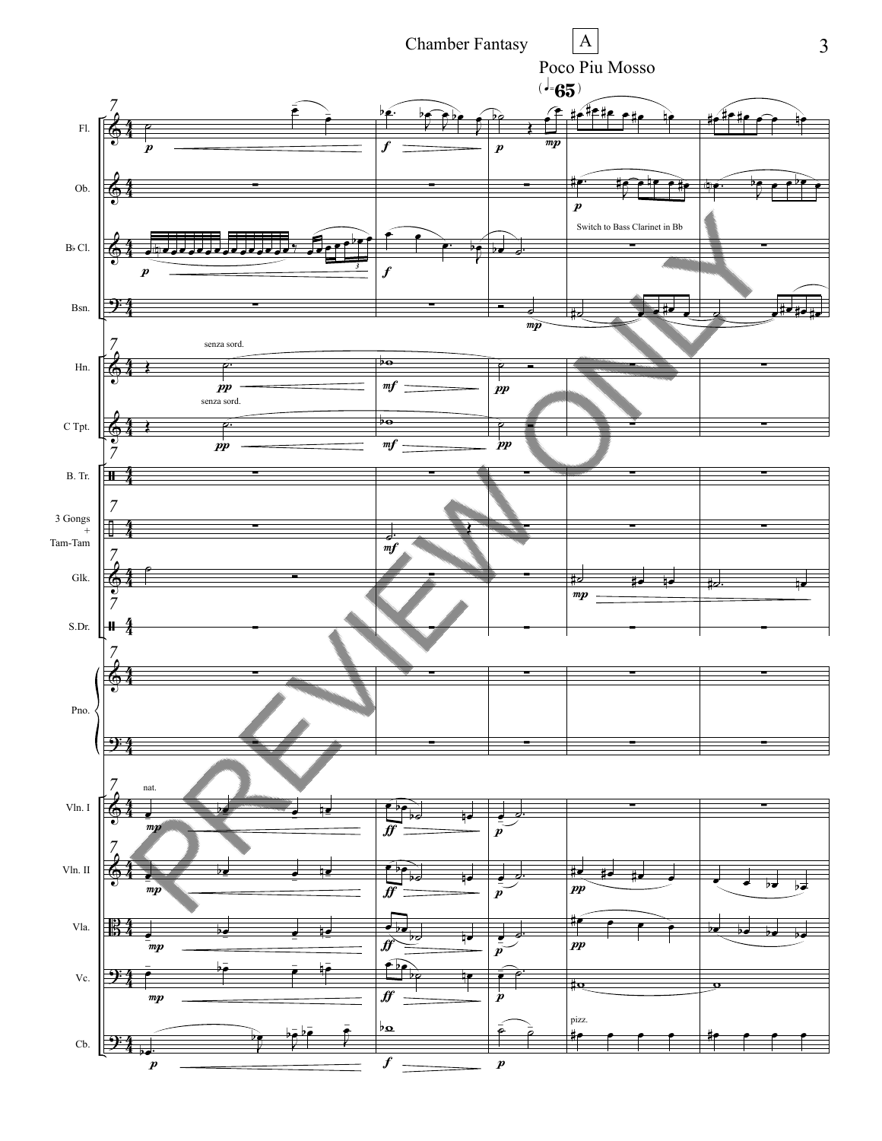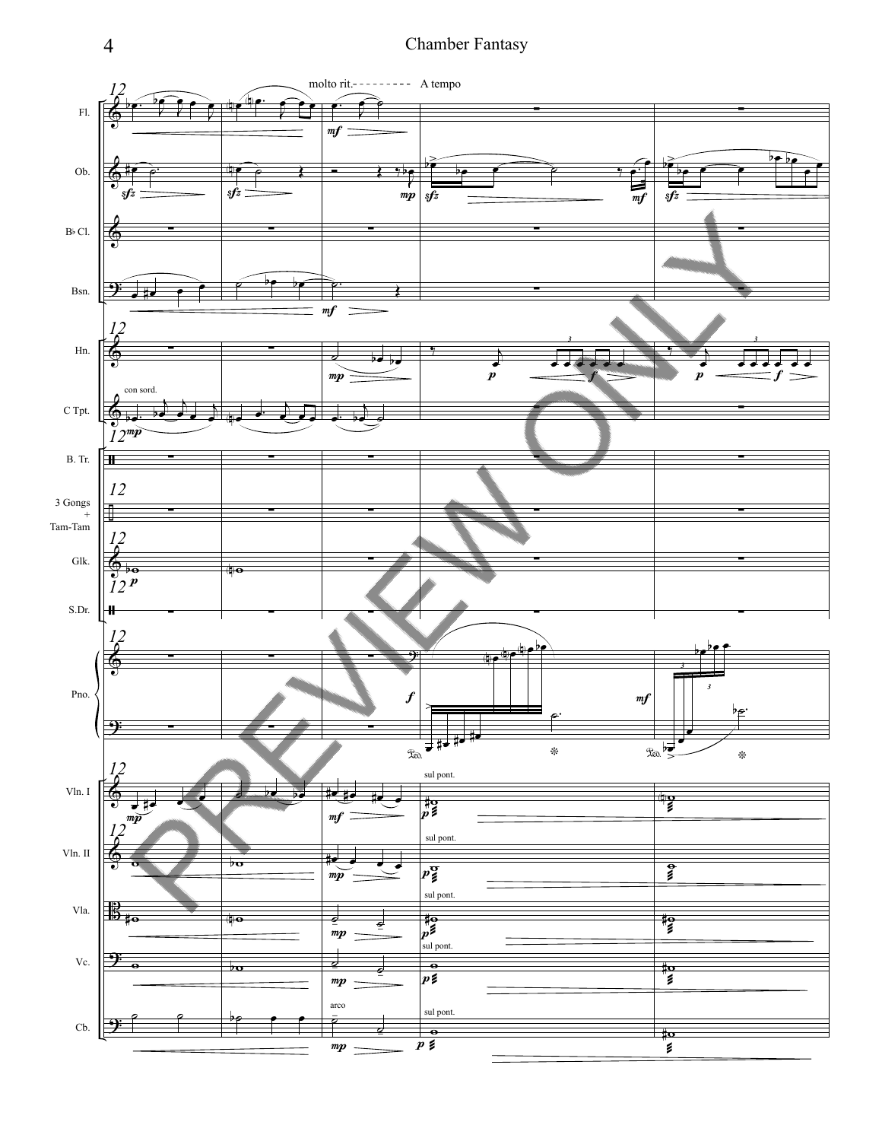4 Chamber Fantasy

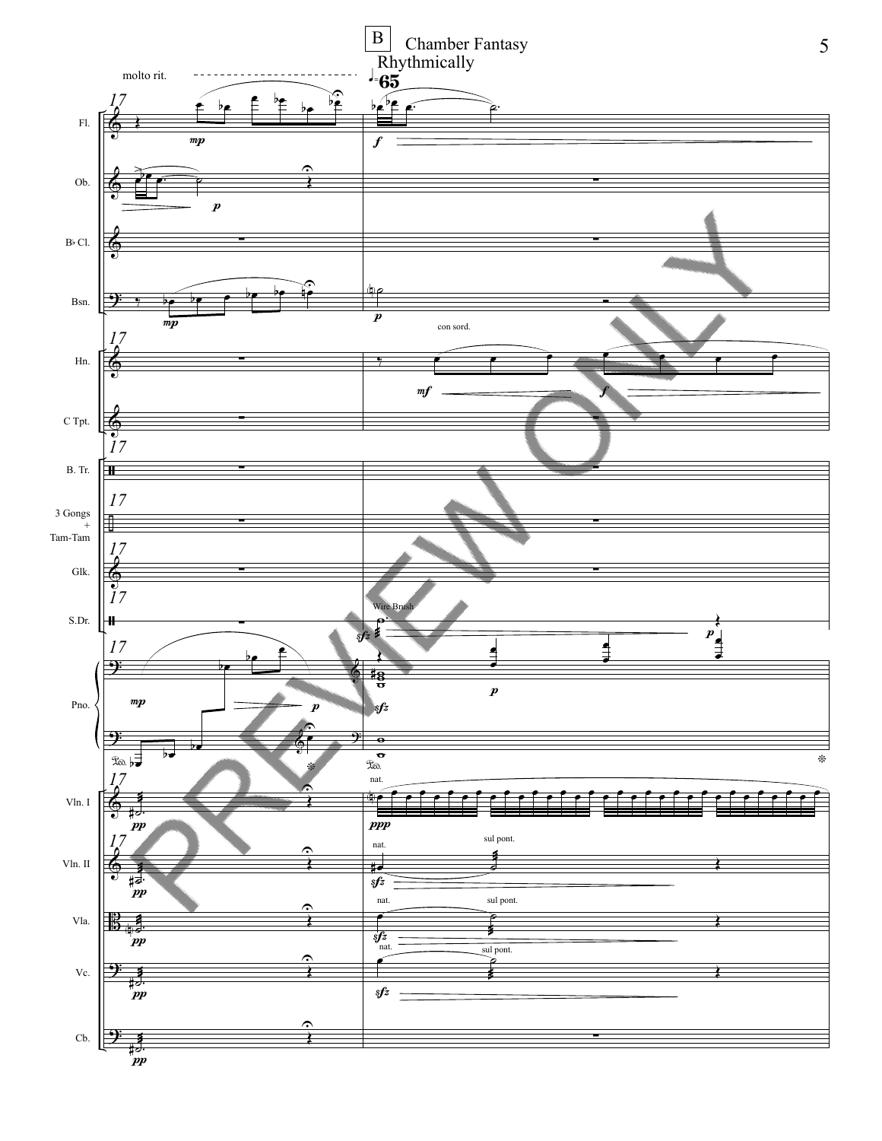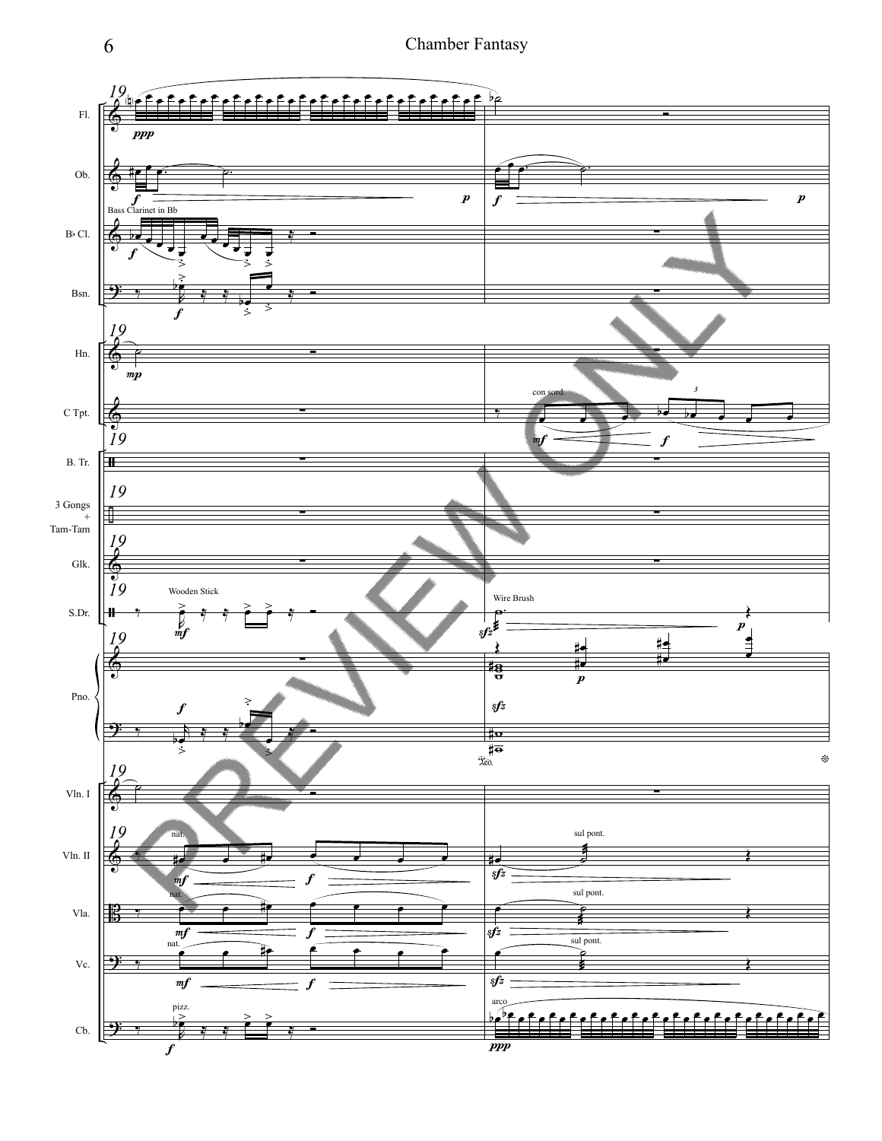

6 Chamber Fantasy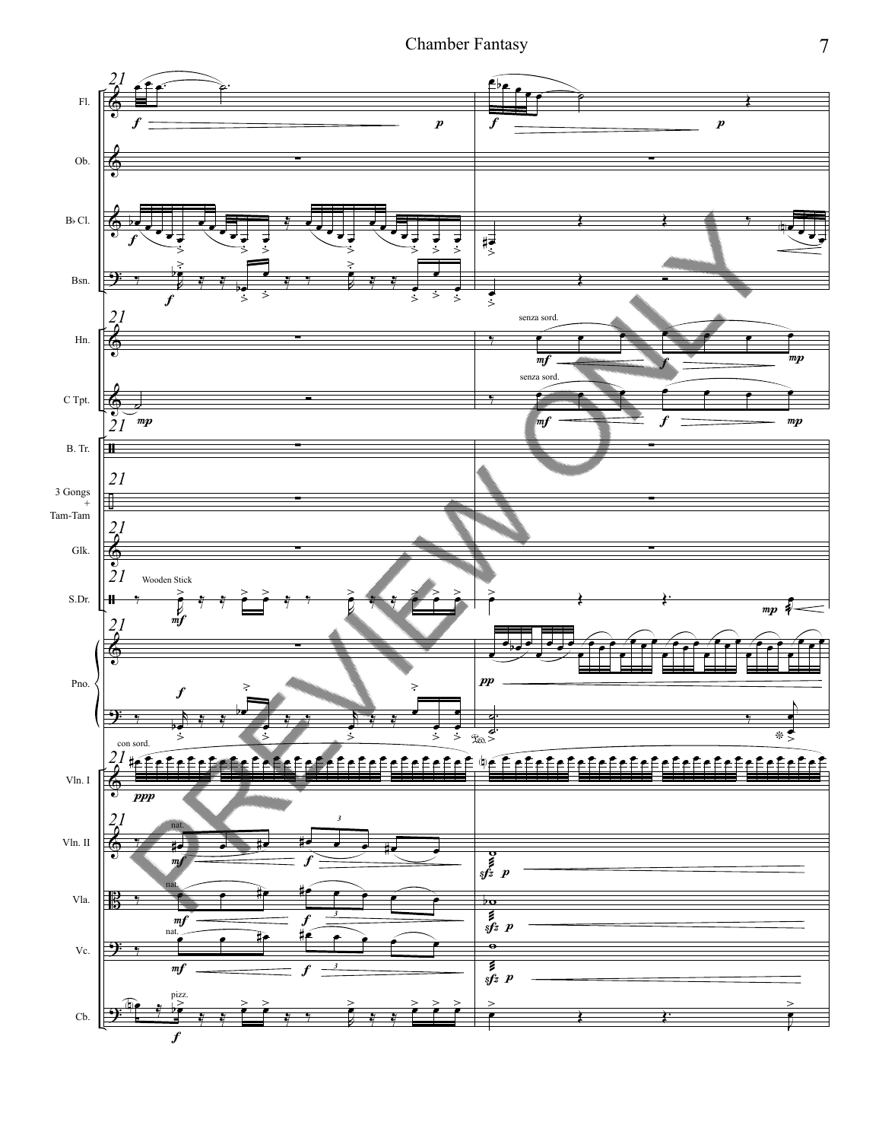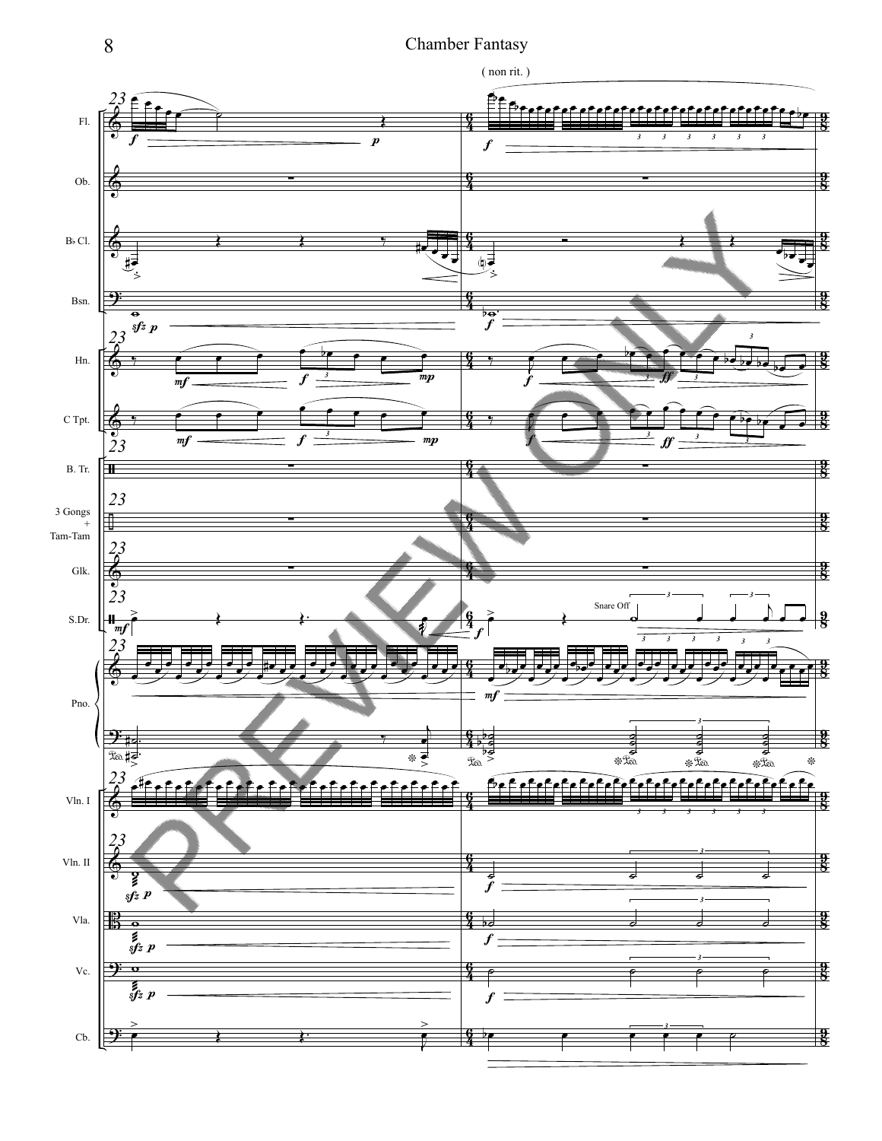$\,8\,$ 

## **Chamber Fantasy**

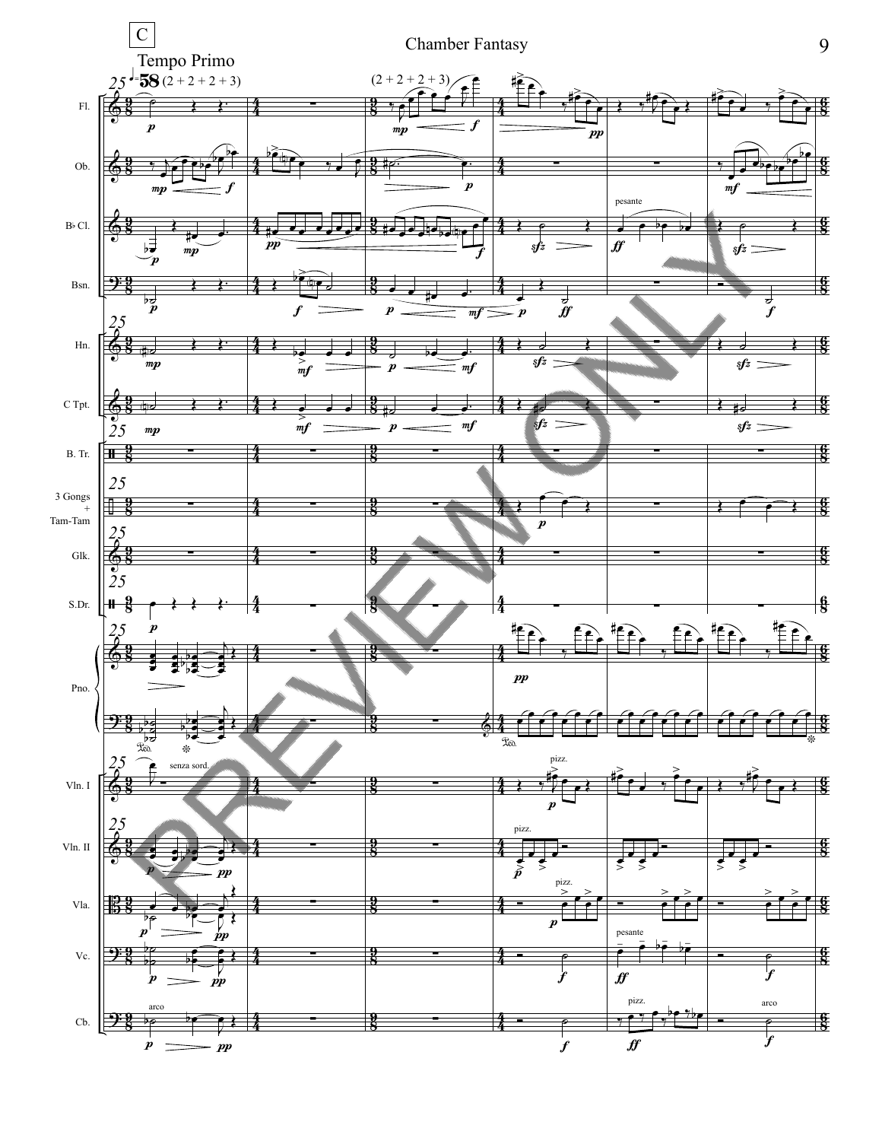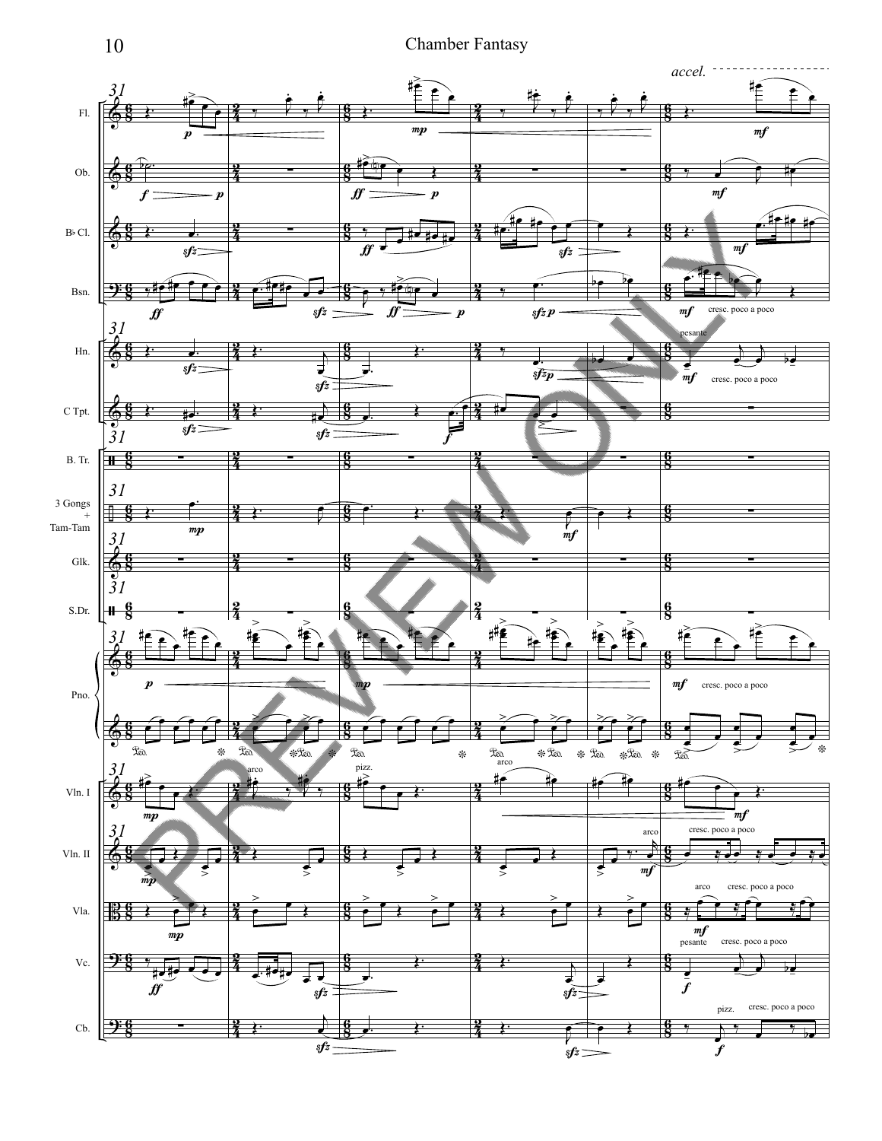**Chamber Fantasy** 



10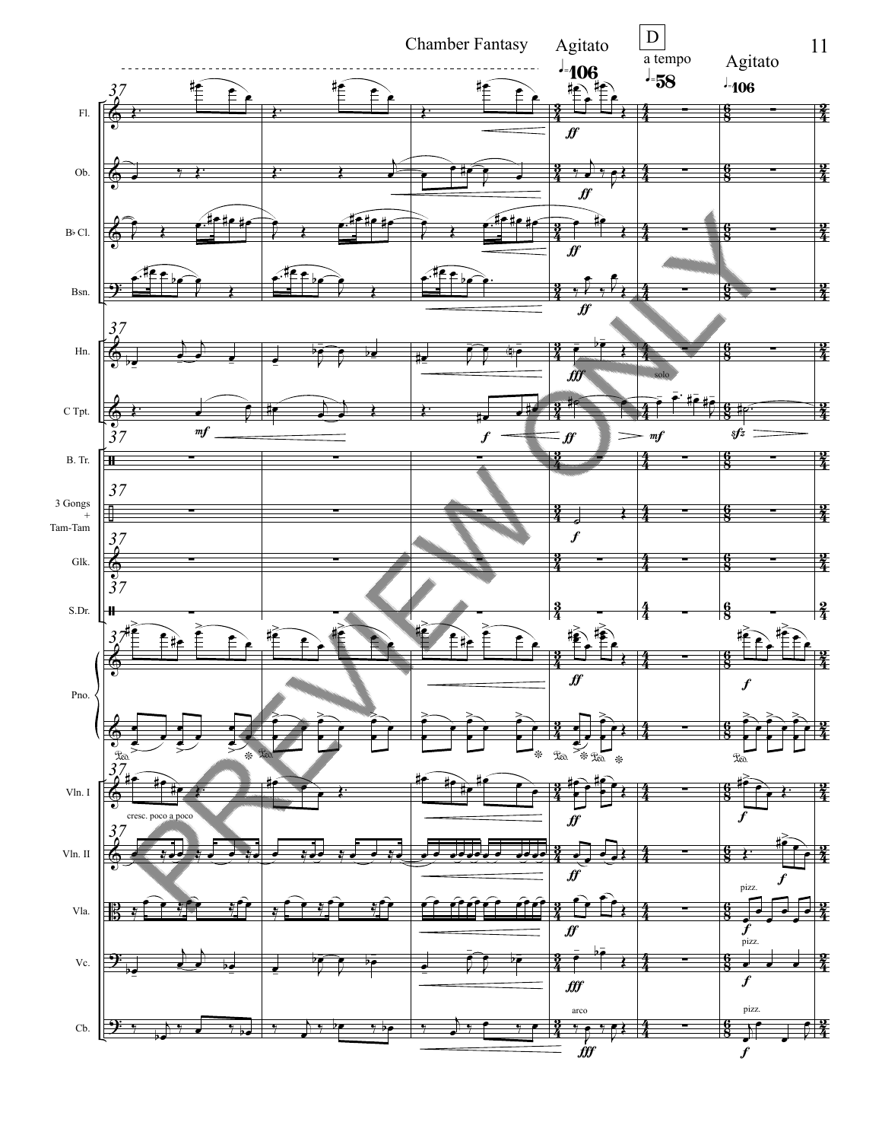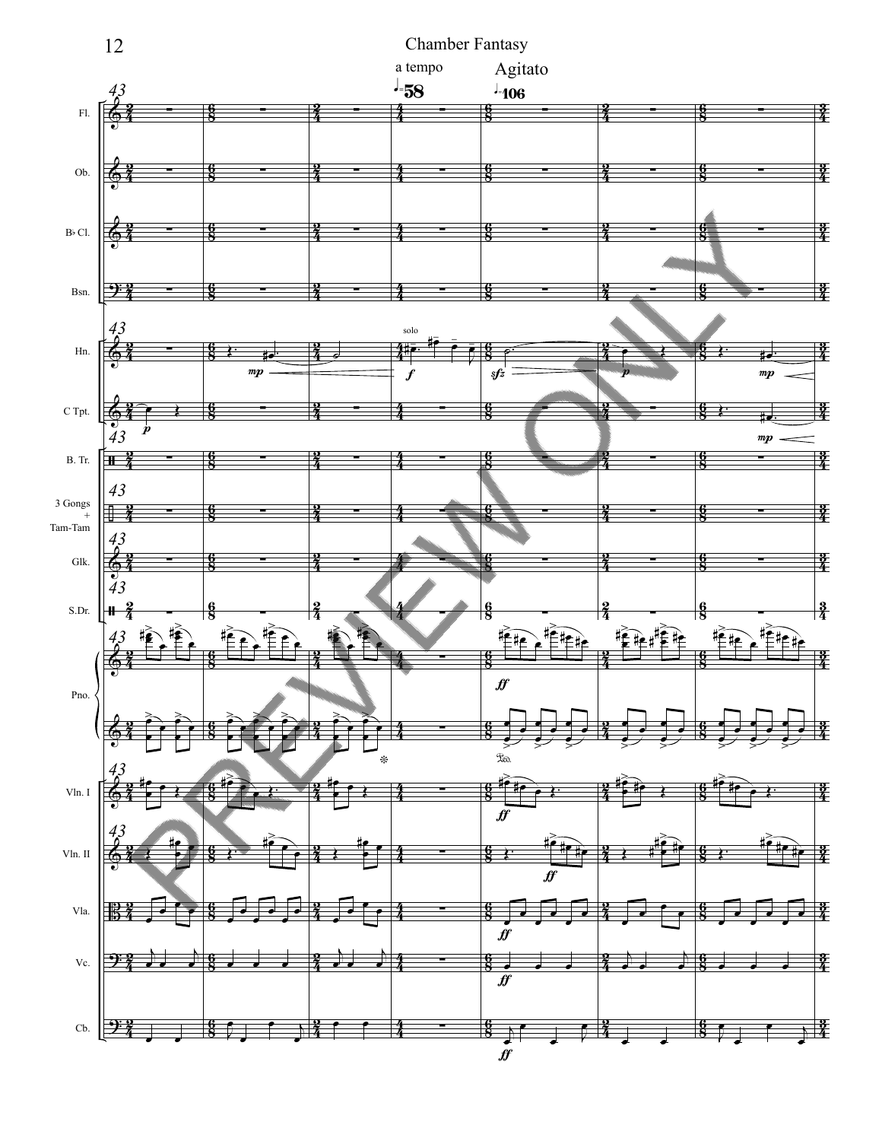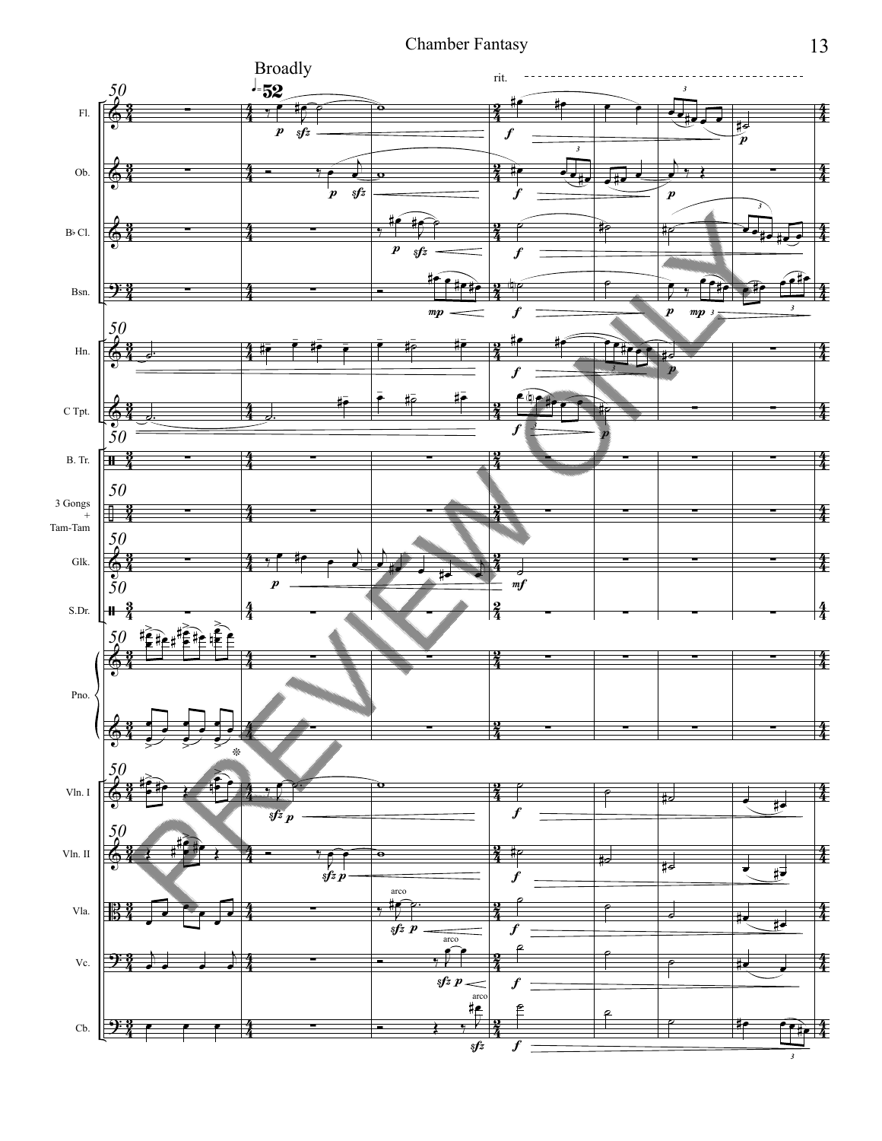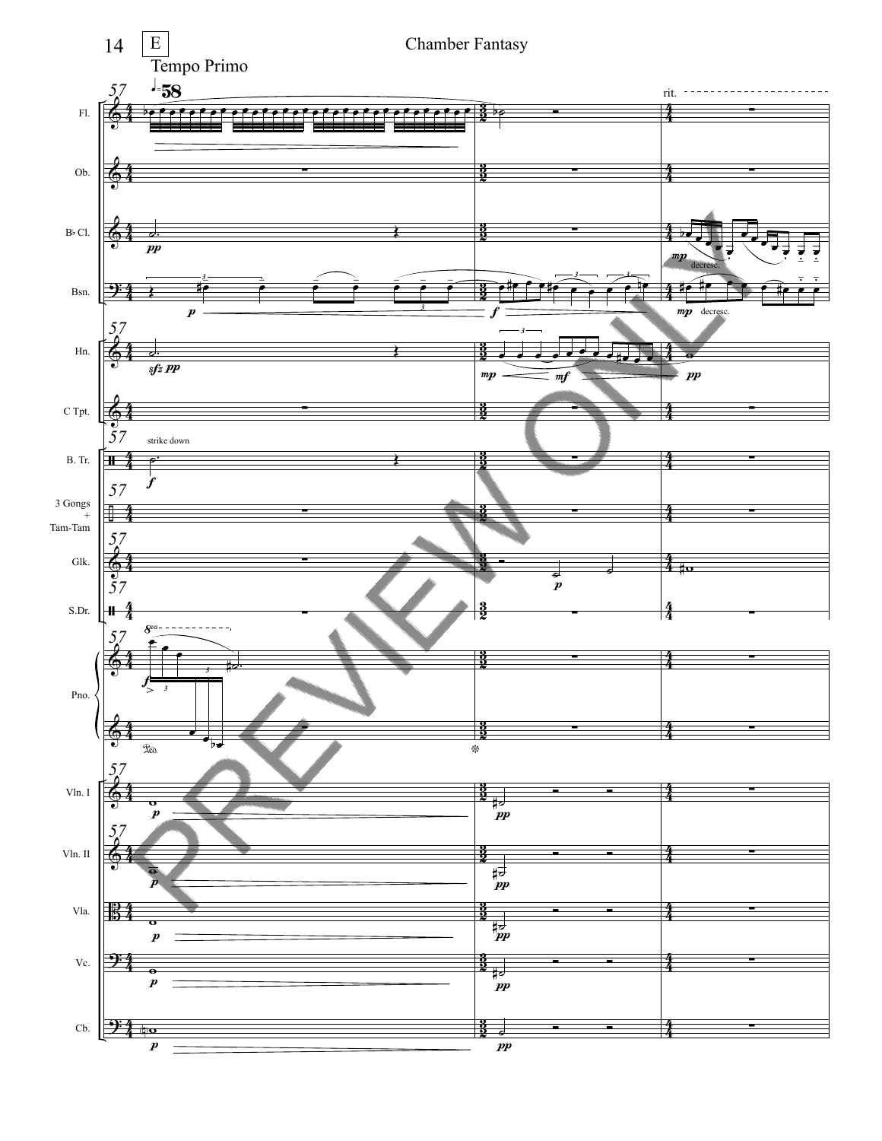